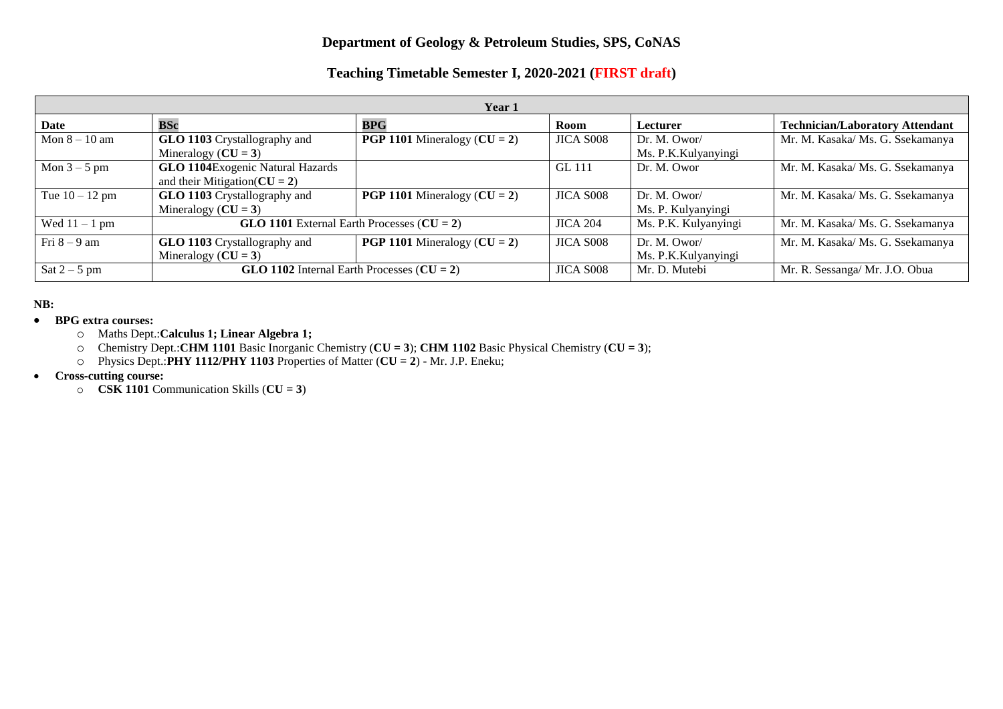## **Department of Geology & Petroleum Studies, SPS, CoNAS**

## **Teaching Timetable Semester I, 2020-2021 (FIRST draft)**

| Year 1           |                                                                              |                                         |                  |                                     |                                        |  |
|------------------|------------------------------------------------------------------------------|-----------------------------------------|------------------|-------------------------------------|----------------------------------------|--|
| Date             | <b>BSc</b>                                                                   | <b>BPG</b>                              | <b>Room</b>      | Lecturer                            | <b>Technician/Laboratory Attendant</b> |  |
| Mon $8 - 10$ am  | GLO 1103 Crystallography and<br>Mineralogy ( $CU = 3$ )                      | <b>PGP 1101</b> Mineralogy ( $CU = 2$ ) | JICA S008        | Dr. M. Owor/<br>Ms. P.K.Kulyanyingi | Mr. M. Kasaka/ Ms. G. Ssekamanya       |  |
| Mon $3-5$ pm     | <b>GLO 1104</b> Exogenic Natural Hazards<br>and their Mitigation( $CU = 2$ ) |                                         | GL 111           | Dr. M. Owor                         | Mr. M. Kasaka/ Ms. G. Ssekamanya       |  |
| Tue $10 - 12$ pm | GLO 1103 Crystallography and<br>Mineralogy ( $CU = 3$ )                      | <b>PGP 1101</b> Mineralogy ( $CU = 2$ ) | JICA S008        | Dr. M. Owor/<br>Ms. P. Kulyanyingi  | Mr. M. Kasaka/ Ms. G. Ssekamanya       |  |
| Wed $11 - 1$ pm  | GLO 1101 External Earth Processes $(CU = 2)$                                 |                                         | <b>JICA 204</b>  | Ms. P.K. Kulyanyingi                | Mr. M. Kasaka/ Ms. G. Ssekamanya       |  |
| Fri $8-9$ am     | GLO 1103 Crystallography and<br>Mineralogy ( $CU = 3$ )                      | <b>PGP 1101</b> Mineralogy ( $CU = 2$ ) | JICA S008        | Dr. M. Owor/<br>Ms. P.K.Kulyanyingi | Mr. M. Kasaka/ Ms. G. Ssekamanya       |  |
| Sat $2-5$ pm     | GLO 1102 Internal Earth Processes $(CU = 2)$                                 |                                         | <b>JICA S008</b> | Mr. D. Mutebi                       | Mr. R. Sessanga/ Mr. J.O. Obua         |  |

## **NB:**

- **BPG extra courses:** 
	- o Maths Dept.:**Calculus 1; Linear Algebra 1;**
	- o Chemistry Dept.:**CHM 1101** Basic Inorganic Chemistry (**CU = 3**); **CHM 1102** Basic Physical Chemistry (**CU = 3**);
	- o Physics Dept.:**PHY 1112/PHY 1103** Properties of Matter (**CU = 2**) Mr. J.P. Eneku;
- **Cross-cutting course:** 
	- o **CSK 1101** Communication Skills (**CU = 3**)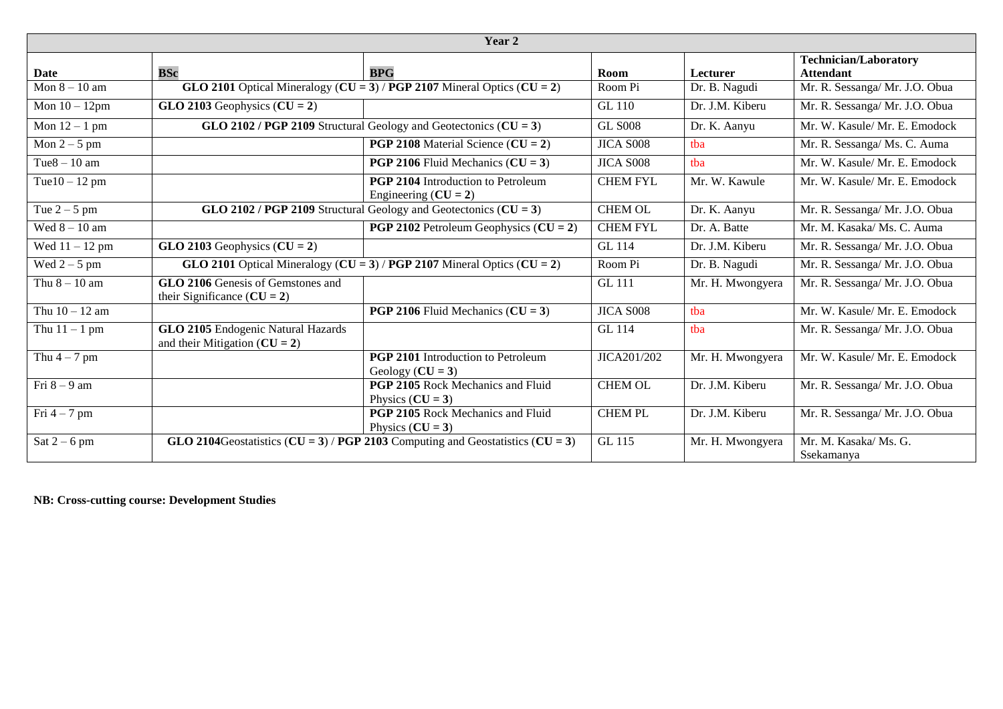| Year 2           |                                                                             |                                                                                 |                 |                  |                                                  |
|------------------|-----------------------------------------------------------------------------|---------------------------------------------------------------------------------|-----------------|------------------|--------------------------------------------------|
| Date             | <b>BSc</b>                                                                  | <b>BPG</b>                                                                      | Room            | Lecturer         | <b>Technician/Laboratory</b><br><b>Attendant</b> |
| Mon $8 - 10$ am  |                                                                             | GLO 2101 Optical Mineralogy ( $CU = 3$ ) / PGP 2107 Mineral Optics ( $CU = 2$ ) | Room Pi         | Dr. B. Nagudi    | Mr. R. Sessanga/ Mr. J.O. Obua                   |
| Mon $10 - 12$ pm | GLO 2103 Geophysics $(CU = 2)$                                              |                                                                                 | <b>GL 110</b>   | Dr. J.M. Kiberu  | Mr. R. Sessanga/ Mr. J.O. Obua                   |
| Mon $12 - 1$ pm  |                                                                             | GLO 2102 / PGP 2109 Structural Geology and Geotectonics ( $CU = 3$ )            | <b>GL S008</b>  | Dr. K. Aanyu     | Mr. W. Kasule/ Mr. E. Emodock                    |
| Mon $2-5$ pm     |                                                                             | <b>PGP 2108</b> Material Science ( $CU = 2$ )                                   | JICA S008       | tba              | Mr. R. Sessanga/ Ms. C. Auma                     |
| Tue $8 - 10$ am  |                                                                             | <b>PGP 2106</b> Fluid Mechanics ( $CU = 3$ )                                    | JICA S008       | tha              | Mr. W. Kasule/ Mr. E. Emodock                    |
| Tue $10 - 12$ pm |                                                                             | <b>PGP 2104</b> Introduction to Petroleum<br>Engineering $(CU = 2)$             | <b>CHEM FYL</b> | Mr. W. Kawule    | Mr. W. Kasule/ Mr. E. Emodock                    |
| Tue $2-5$ pm     |                                                                             | GLO 2102 / PGP 2109 Structural Geology and Geotectonics $(CU = 3)$              | <b>CHEM OL</b>  | Dr. K. Aanyu     | Mr. R. Sessanga/ Mr. J.O. Obua                   |
| Wed $8 - 10$ am  |                                                                             | <b>PGP 2102</b> Petroleum Geophysics $(CU = 2)$                                 | <b>CHEM FYL</b> | Dr. A. Batte     | Mr. M. Kasaka/ Ms. C. Auma                       |
| Wed $11 - 12$ pm | GLO 2103 Geophysics $(CU = 2)$                                              |                                                                                 | <b>GL</b> 114   | Dr. J.M. Kiberu  | Mr. R. Sessanga/ Mr. J.O. Obua                   |
| Wed $2-5$ pm     |                                                                             | GLO 2101 Optical Mineralogy ( $CU = 3$ ) / PGP 2107 Mineral Optics ( $CU = 2$ ) | Room Pi         | Dr. B. Nagudi    | Mr. R. Sessanga/ Mr. J.O. Obua                   |
| Thu $8 - 10$ am  | <b>GLO 2106</b> Genesis of Gemstones and<br>their Significance ( $CU = 2$ ) |                                                                                 | <b>GL 111</b>   | Mr. H. Mwongyera | Mr. R. Sessanga/ Mr. J.O. Obua                   |
| Thu $10 - 12$ am |                                                                             | <b>PGP 2106</b> Fluid Mechanics $(CU = 3)$                                      | JICA S008       | tba              | Mr. W. Kasule/ Mr. E. Emodock                    |
| Thu $11 - 1$ pm  | GLO 2105 Endogenic Natural Hazards<br>and their Mitigation ( $CU = 2$ )     |                                                                                 | <b>GL</b> 114   | tba              | Mr. R. Sessanga/ Mr. J.O. Obua                   |
| Thu $4-7$ pm     |                                                                             | PGP 2101 Introduction to Petroleum<br>Geology $(CU = 3)$                        | JICA201/202     | Mr. H. Mwongyera | Mr. W. Kasule/ Mr. E. Emodock                    |
| Fri $8-9$ am     |                                                                             | PGP 2105 Rock Mechanics and Fluid<br>Physics $(CU = 3)$                         | <b>CHEM OL</b>  | Dr. J.M. Kiberu  | Mr. R. Sessanga/ Mr. J.O. Obua                   |
| Fri $4-7$ pm     |                                                                             | <b>PGP 2105</b> Rock Mechanics and Fluid<br>Physics $(CU = 3)$                  | <b>CHEMPL</b>   | Dr. J.M. Kiberu  | Mr. R. Sessanga/ Mr. J.O. Obua                   |
| Sat $2-6$ pm     |                                                                             | GLO 2104Geostatistics (CU = 3) / PGP 2103 Computing and Geostatistics (CU = 3)  | GL 115          | Mr. H. Mwongyera | Mr. M. Kasaka/Ms. G.<br>Ssekamanya               |

**NB: Cross-cutting course: Development Studies**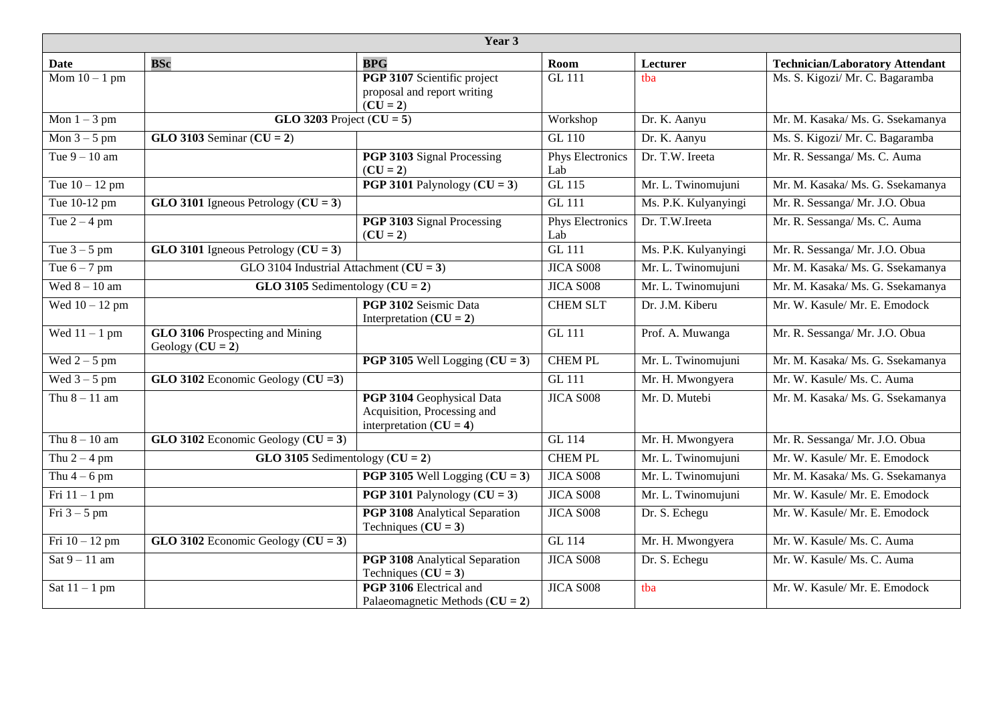| Year 3           |                                                       |                                                                                       |                                |                      |                                        |
|------------------|-------------------------------------------------------|---------------------------------------------------------------------------------------|--------------------------------|----------------------|----------------------------------------|
| Date             | <b>BSc</b>                                            | <b>BPG</b>                                                                            | Room                           | Lecturer             | <b>Technician/Laboratory Attendant</b> |
| Mom $10 - 1$ pm  |                                                       | PGP 3107 Scientific project<br>proposal and report writing<br>$(CU = 2)$              | <b>GL 111</b>                  | tha                  | Ms. S. Kigozi/ Mr. C. Bagaramba        |
| Mon $1 - 3$ pm   | GLO 3203 Project $(CU = 5)$                           |                                                                                       | Workshop                       | Dr. K. Aanyu         | Mr. M. Kasaka/ Ms. G. Ssekamanya       |
| Mon $3 - 5$ pm   | GLO 3103 Seminar $(CU = 2)$                           |                                                                                       | <b>GL 110</b>                  | Dr. K. Aanyu         | Ms. S. Kigozi/ Mr. C. Bagaramba        |
| Tue $9 - 10$ am  |                                                       | PGP 3103 Signal Processing<br>$(CU = 2)$                                              | Phys Electronics<br>Lab        | Dr. T.W. Ireeta      | Mr. R. Sessanga/ Ms. C. Auma           |
| Tue $10 - 12$ pm |                                                       | <b>PGP 3101</b> Palynology $(CU = 3)$                                                 | GL 115                         | Mr. L. Twinomujuni   | Mr. M. Kasaka/ Ms. G. Ssekamanya       |
| Tue 10-12 pm     | GLO 3101 Igneous Petrology ( $CU = 3$ )               |                                                                                       | <b>GL 111</b>                  | Ms. P.K. Kulyanyingi | Mr. R. Sessanga/ Mr. J.O. Obua         |
| Tue $2 - 4$ pm   |                                                       | <b>PGP 3103</b> Signal Processing<br>$(CU = 2)$                                       | <b>Phys Electronics</b><br>Lab | Dr. T.W.Ireeta       | Mr. R. Sessanga/Ms. C. Auma            |
| Tue $3 - 5$ pm   | GLO 3101 Igneous Petrology ( $CU = 3$ )               |                                                                                       | <b>GL 111</b>                  | Ms. P.K. Kulyanyingi | Mr. R. Sessanga/ Mr. J.O. Obua         |
| Tue $6 - 7$ pm   | GLO 3104 Industrial Attachment ( $CU = 3$ )           |                                                                                       | <b>JICA S008</b>               | Mr. L. Twinomujuni   | Mr. M. Kasaka/ Ms. G. Ssekamanya       |
| Wed $8 - 10$ am  | GLO 3105 Sedimentology $(CU = 2)$                     |                                                                                       | <b>JICA S008</b>               | Mr. L. Twinomujuni   | Mr. M. Kasaka/ Ms. G. Ssekamanya       |
| Wed $10 - 12$ pm |                                                       | PGP 3102 Seismic Data<br>Interpretation $(CU = 2)$                                    | <b>CHEM SLT</b>                | Dr. J.M. Kiberu      | Mr. W. Kasule/ Mr. E. Emodock          |
| Wed $11 - 1$ pm  | GLO 3106 Prospecting and Mining<br>Geology $(CU = 2)$ |                                                                                       | <b>GL 111</b>                  | Prof. A. Muwanga     | Mr. R. Sessanga/ Mr. J.O. Obua         |
| Wed $2-5$ pm     |                                                       | <b>PGP 3105</b> Well Logging $(CU = 3)$                                               | <b>CHEM PL</b>                 | Mr. L. Twinomujuni   | Mr. M. Kasaka/ Ms. G. Ssekamanya       |
| Wed $3-5$ pm     | GLO 3102 Economic Geology ( $CU = 3$ )                |                                                                                       | <b>GL 111</b>                  | Mr. H. Mwongyera     | Mr. W. Kasule/ Ms. C. Auma             |
| Thu $8 - 11$ am  |                                                       | PGP 3104 Geophysical Data<br>Acquisition, Processing and<br>interpretation $(CU = 4)$ | <b>JICA S008</b>               | Mr. D. Mutebi        | Mr. M. Kasaka/ Ms. G. Ssekamanya       |
| Thu $8 - 10$ am  | GLO 3102 Economic Geology ( $CU = 3$ )                |                                                                                       | GL 114                         | Mr. H. Mwongyera     | Mr. R. Sessanga/ Mr. J.O. Obua         |
| Thu $2 - 4$ pm   | GLO 3105 Sedimentology $(CU = 2)$                     |                                                                                       | <b>CHEM PL</b>                 | Mr. L. Twinomujuni   | Mr. W. Kasule/ Mr. E. Emodock          |
| Thu $4-6$ pm     |                                                       | <b>PGP 3105</b> Well Logging $(CU = 3)$                                               | <b>JICA S008</b>               | Mr. L. Twinomujuni   | Mr. M. Kasaka/ Ms. G. Ssekamanya       |
| Fri $11 - 1$ pm  |                                                       | <b>PGP 3101</b> Palynology $(CU = 3)$                                                 | JICA S008                      | Mr. L. Twinomujuni   | Mr. W. Kasule/ Mr. E. Emodock          |
| Fri $3-5$ pm     |                                                       | PGP 3108 Analytical Separation<br>Techniques $(CU = 3)$                               | JICA S008                      | Dr. S. Echegu        | Mr. W. Kasule/ Mr. E. Emodock          |
| Fri $10 - 12$ pm | GLO 3102 Economic Geology ( $CU = 3$ )                |                                                                                       | GL 114                         | Mr. H. Mwongyera     | Mr. W. Kasule/ Ms. C. Auma             |
| Sat $9 - 11$ am  |                                                       | PGP 3108 Analytical Separation<br>Techniques $(CU = 3)$                               | <b>JICA S008</b>               | Dr. S. Echegu        | Mr. W. Kasule/ Ms. C. Auma             |
| Sat $11 - 1$ pm  |                                                       | PGP 3106 Electrical and<br>Palaeomagnetic Methods $(CU = 2)$                          | JICA S008                      | tba                  | Mr. W. Kasule/ Mr. E. Emodock          |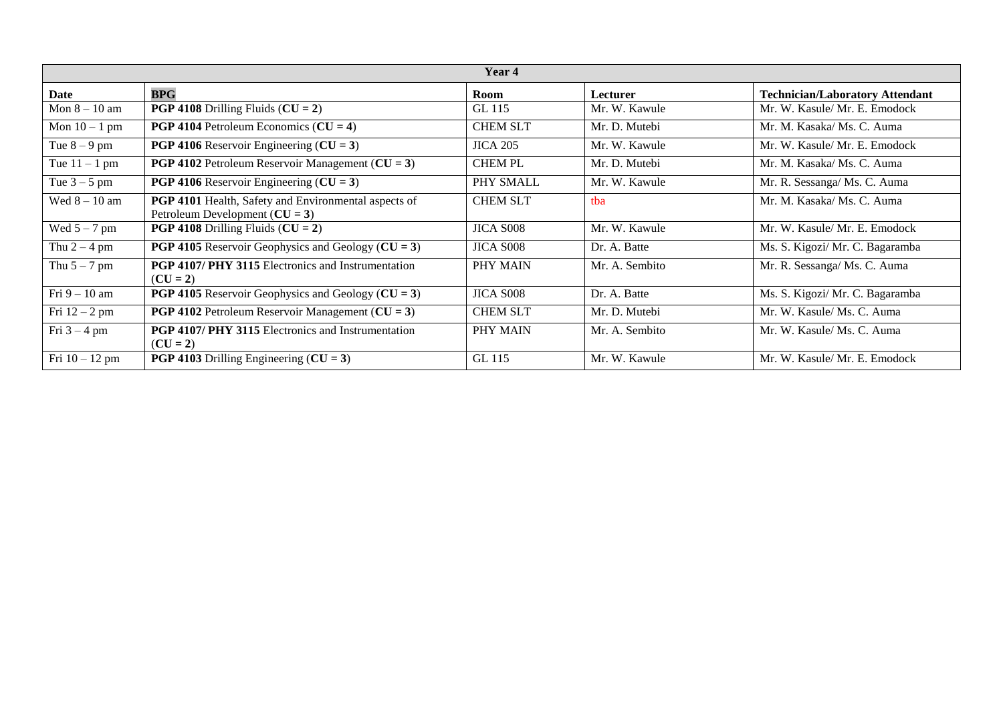| Year 4           |                                                                                            |                  |                |                                        |  |  |
|------------------|--------------------------------------------------------------------------------------------|------------------|----------------|----------------------------------------|--|--|
| Date             | <b>BPG</b>                                                                                 | Room             | Lecturer       | <b>Technician/Laboratory Attendant</b> |  |  |
| Mon $8-10$ am    | <b>PGP 4108</b> Drilling Fluids $(CU = 2)$                                                 | GL 115           | Mr. W. Kawule  | Mr. W. Kasule/ Mr. E. Emodock          |  |  |
| Mon $10 - 1$ pm  | <b>PGP 4104</b> Petroleum Economics ( $CU = 4$ )                                           | <b>CHEM SLT</b>  | Mr. D. Mutebi  | Mr. M. Kasaka/ Ms. C. Auma             |  |  |
| Tue $8-9$ pm     | <b>PGP 4106</b> Reservoir Engineering ( $CU = 3$ )                                         | <b>JICA 205</b>  | Mr. W. Kawule  | Mr. W. Kasule/ Mr. E. Emodock          |  |  |
| Tue $11 - 1$ pm  | <b>PGP 4102</b> Petroleum Reservoir Management ( $CU = 3$ )                                | <b>CHEMPL</b>    | Mr. D. Mutebi  | Mr. M. Kasaka/ Ms. C. Auma             |  |  |
| Tue $3 - 5$ pm   | <b>PGP 4106</b> Reservoir Engineering ( $CU = 3$ )                                         | PHY SMALL        | Mr. W. Kawule  | Mr. R. Sessanga/ Ms. C. Auma           |  |  |
| Wed $8 - 10$ am  | PGP 4101 Health, Safety and Environmental aspects of<br>Petroleum Development ( $CU = 3$ ) | <b>CHEM SLT</b>  | tba            | Mr. M. Kasaka/ Ms. C. Auma             |  |  |
| Wed $5 - 7$ pm   | <b>PGP 4108</b> Drilling Fluids $(CU = 2)$                                                 | <b>JICA S008</b> | Mr. W. Kawule  | Mr. W. Kasule/ Mr. E. Emodock          |  |  |
| Thu $2 - 4$ pm   | <b>PGP 4105</b> Reservoir Geophysics and Geology ( $CU = 3$ )                              | <b>JICA S008</b> | Dr. A. Batte   | Ms. S. Kigozi/ Mr. C. Bagaramba        |  |  |
| Thu $5 - 7$ pm   | PGP 4107/ PHY 3115 Electronics and Instrumentation<br>$(CU = 2)$                           | PHY MAIN         | Mr. A. Sembito | Mr. R. Sessanga/ Ms. C. Auma           |  |  |
| Fri $9-10$ am    | <b>PGP 4105</b> Reservoir Geophysics and Geology ( $CU = 3$ )                              | JICA S008        | Dr. A. Batte   | Ms. S. Kigozi/ Mr. C. Bagaramba        |  |  |
| Fri $12 - 2$ pm  | <b>PGP 4102</b> Petroleum Reservoir Management ( $CU = 3$ )                                | <b>CHEM SLT</b>  | Mr. D. Mutebi  | Mr. W. Kasule/Ms. C. Auma              |  |  |
| Fri $3 - 4$ pm   | <b>PGP 4107/ PHY 3115 Electronics and Instrumentation</b><br>$(CU = 2)$                    | PHY MAIN         | Mr. A. Sembito | Mr. W. Kasule/Ms. C. Auma              |  |  |
| Fri $10 - 12$ pm | <b>PGP 4103</b> Drilling Engineering ( $CU = 3$ )                                          | GL 115           | Mr. W. Kawule  | Mr. W. Kasule/Mr. E. Emodock           |  |  |